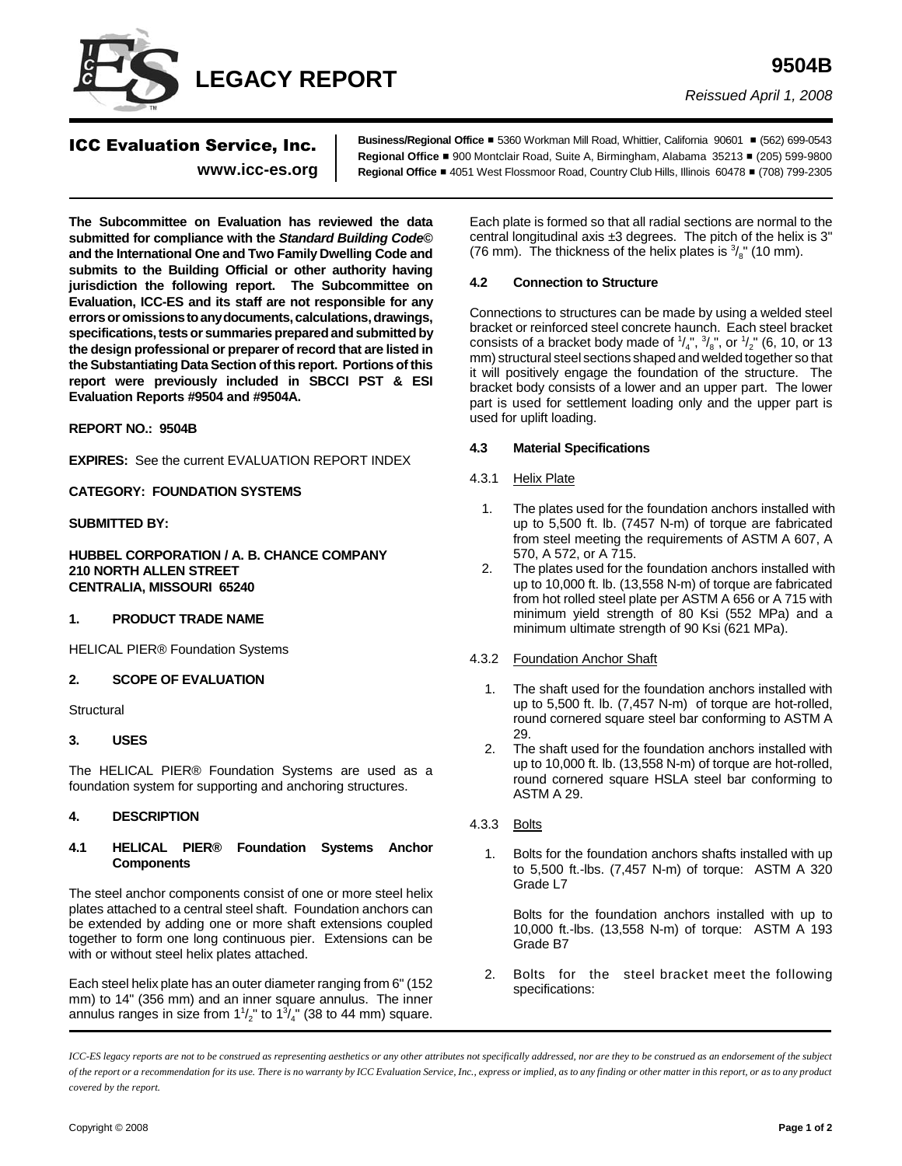

*Reissued April 1, 2008*

# ICC Evaluation Service, Inc.

**www.icc-es.org**

**Business/Regional Office** # 5360 Workman Mill Road, Whittier, California 90601 # (562) 699-0543 **Regional Office ■ 900 Montclair Road, Suite A, Birmingham, Alabama 35213 ■ (205) 599-9800 Regional Office** # 4051 West Flossmoor Road, Country Club Hills, Illinois 60478 # (708) 799-2305

**The Subcommittee on Evaluation has reviewed the data submitted for compliance with the** *Standard Building Code***© and the International One and Two Family Dwelling Code and submits to the Building Official or other authority having jurisdiction the following report. The Subcommittee on Evaluation, ICC-ES and its staff are not responsible for any errors or omissions to any documents, calculations, drawings, specifications, tests or summaries prepared and submitted by the design professional or preparer of record that are listed in the Substantiating Data Section of this report. Portions of this report were previously included in SBCCI PST & ESI Evaluation Reports #9504 and #9504A.**

# **REPORT NO.: 9504B**

**EXPIRES:** See the current EVALUATION REPORT INDEX

# **CATEGORY: FOUNDATION SYSTEMS**

# **SUBMITTED BY:**

**HUBBEL CORPORATION / A. B. CHANCE COMPANY 210 NORTH ALLEN STREET CENTRALIA, MISSOURI 65240**

#### **1. PRODUCT TRADE NAME**

HELICAL PIER® Foundation Systems

#### **2. SCOPE OF EVALUATION**

**Structural** 

#### **3. USES**

The HELICAL PIER® Foundation Systems are used as a foundation system for supporting and anchoring structures.

# **4. DESCRIPTION**

#### **4.1 HELICAL PIER® Foundation Systems Anchor Components**

The steel anchor components consist of one or more steel helix plates attached to a central steel shaft. Foundation anchors can be extended by adding one or more shaft extensions coupled together to form one long continuous pier. Extensions can be with or without steel helix plates attached.

Each steel helix plate has an outer diameter ranging from 6" (152 mm) to 14" (356 mm) and an inner square annulus. The inner annulus ranges in size from  $1\frac{1}{2}$ " to  $1\frac{3}{4}$ " (38 to 44 mm) square.

Each plate is formed so that all radial sections are normal to the central longitudinal axis ±3 degrees. The pitch of the helix is 3" (76 mm). The thickness of the helix plates is  $\frac{3}{8}$ " (10 mm).

#### **4.2 Connection to Structure**

Connections to structures can be made by using a welded steel bracket or reinforced steel concrete haunch. Each steel bracket consists of a bracket body made of  $\frac{1}{4}$ ,  $\frac{3}{8}$ , or  $\frac{1}{2}$  (6, 10, or 13 mm) structural steel sections shaped and welded together so that it will positively engage the foundation of the structure. The bracket body consists of a lower and an upper part. The lower part is used for settlement loading only and the upper part is used for uplift loading.

#### **4.3 Material Specifications**

- 4.3.1 Helix Plate
	- 1. The plates used for the foundation anchors installed with up to 5,500 ft. lb. (7457 N-m) of torque are fabricated from steel meeting the requirements of ASTM A 607, A 570, A 572, or A 715.
	- 2. The plates used for the foundation anchors installed with up to 10,000 ft. lb. (13,558 N-m) of torque are fabricated from hot rolled steel plate per ASTM A 656 or A 715 with minimum yield strength of 80 Ksi (552 MPa) and a minimum ultimate strength of 90 Ksi (621 MPa).

#### 4.3.2 Foundation Anchor Shaft

- 1. The shaft used for the foundation anchors installed with up to 5,500 ft. lb. (7,457 N-m) of torque are hot-rolled, round cornered square steel bar conforming to ASTM A 29.
- 2. The shaft used for the foundation anchors installed with up to 10,000 ft. lb. (13,558 N-m) of torque are hot-rolled, round cornered square HSLA steel bar conforming to ASTM A 29.
- 4.3.3 Bolts
	- 1. Bolts for the foundation anchors shafts installed with up to 5,500 ft.-lbs. (7,457 N-m) of torque: ASTM A 320 Grade L7

Bolts for the foundation anchors installed with up to 10,000 ft.-lbs. (13,558 N-m) of torque: ASTM A 193 Grade B7

 2. Bolts for the steel bracket meet the following specifications:

*ICC-ES legacy reports are not to be construed as representing aesthetics or any other attributes not specifically addressed, nor are they to be construed as an endorsement of the subject of the report or a recommendation for its use. There is no warranty by ICC Evaluation Service, Inc., express or implied, as to any finding or other matter in this report, or as to any product covered by the report.*